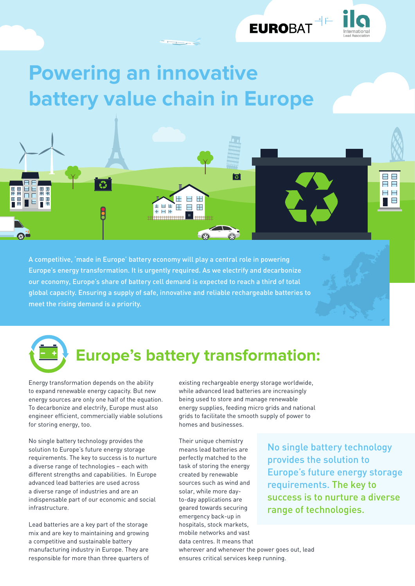

## **Powering an innovative battery value chain in Europe**

A competitive, 'made in Europe' battery economy will play a central role in powering Europe's energy transformation. It is urgently required. As we electrify and decarbonize our economy, Europe's share of battery cell demand is expected to reach a third of total global capacity. Ensuring a supply of safe, innovative and reliable rechargeable batteries to meet the rising demand is a priority.

AHA

H ▇▇

a a<br><del>mmmn</del>

## **Europe's battery transformation:**

Energy transformation depends on the ability to expand renewable energy capacity. But new energy sources are only one half of the equation. To decarbonize and electrify, Europe must also engineer efficient, commercially viable solutions for storing energy, too.

No single battery technology provides the solution to Europe's future energy storage requirements. The key to success is to nurture a diverse range of technologies – each with different strengths and capabilities. In Europe advanced lead batteries are used across a diverse range of industries and are an indispensable part of our economic and social infrastructure.

Lead batteries are a key part of the storage mix and are key to maintaining and growing a competitive and sustainable battery manufacturing industry in Europe. They are responsible for more than three quarters of existing rechargeable energy storage worldwide, while advanced lead batteries are increasingly being used to store and manage renewable energy supplies, feeding micro grids and national grids to facilitate the smooth supply of power to homes and businesses.

ि

Their unique chemistry means lead batteries are perfectly matched to the task of storing the energy created by renewable sources such as wind and solar, while more dayto-day applications are geared towards securing emergency back-up in hospitals, stock markets, mobile networks and vast data centres. It means that wherever and whenever the power goes out, lead ensures critical services keep running.

No single battery technology provides the solution to Europe's future energy storage requirements. The key to success is to nurture a diverse range of technologies.

II E<br>H E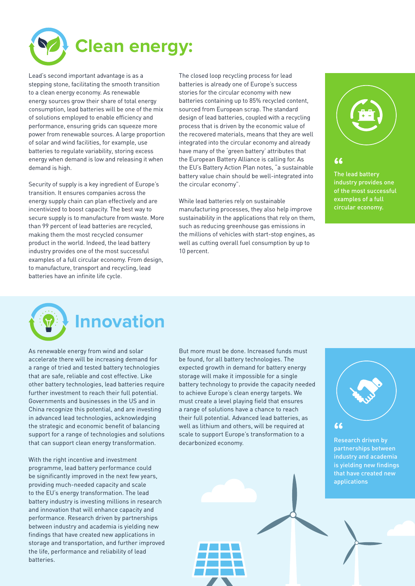

Lead's second important advantage is as a stepping stone, facilitating the smooth transition to a clean energy economy. As renewable energy sources grow their share of total energy consumption, lead batteries will be one of the mix of solutions employed to enable efficiency and performance, ensuring grids can squeeze more power from renewable sources. A large proportion of solar and wind facilities, for example, use batteries to regulate variability, storing excess energy when demand is low and releasing it when demand is high.

Security of supply is a key ingredient of Europe's transition. It ensures companies across the energy supply chain can plan effectively and are incentivized to boost capacity. The best way to secure supply is to manufacture from waste. More than 99 percent of lead batteries are recycled, making them the most recycled consumer product in the world. Indeed, the lead battery industry provides one of the most successful examples of a full circular economy. From design, to manufacture, transport and recycling, lead batteries have an infinite life cycle.

The closed loop recycling process for lead batteries is already one of Europe's success stories for the circular economy with new batteries containing up to 85% recycled content, sourced from European scrap. The standard design of lead batteries, coupled with a recycling process that is driven by the economic value of the recovered materials, means that they are well integrated into the circular economy and already have many of the 'green battery' attributes that the European Battery Alliance is calling for. As the EU's Battery Action Plan notes, "a sustainable battery value chain should be well-integrated into the circular economy".

While lead batteries rely on sustainable manufacturing processes, they also help improve sustainability in the applications that rely on them, such as reducing greenhouse gas emissions in the millions of vehicles with start-stop engines, as well as cutting overall fuel consumption by up to 10 percent.



**"**

The lead battery industry provides one of the most successful examples of a full circular economy.



## **Innovation**

As renewable energy from wind and solar accelerate there will be increasing demand for a range of tried and tested battery technologies that are safe, reliable and cost effective. Like other battery technologies, lead batteries require further investment to reach their full potential. Governments and businesses in the US and in China recognize this potential, and are investing in advanced lead technologies, acknowledging the strategic and economic benefit of balancing support for a range of technologies and solutions that can support clean energy transformation.

With the right incentive and investment programme, lead battery performance could be significantly improved in the next few years, providing much-needed capacity and scale to the EU's energy transformation. The lead battery industry is investing millions in research and innovation that will enhance capacity and performance. Research driven by partnerships between industry and academia is yielding new findings that have created new applications in storage and transportation, and further improved the life, performance and reliability of lead batteries.

But more must be done. Increased funds must be found, for all battery technologies. The expected growth in demand for battery energy storage will make it impossible for a single battery technology to provide the capacity needed to achieve Europe's clean energy targets. We must create a level playing field that ensures a range of solutions have a chance to reach their full potential. Advanced lead batteries, as well as lithium and others, will be required at scale to support Europe's transformation to a decarbonized economy.



partnerships between industry and academia is yielding new findings that have created new applications